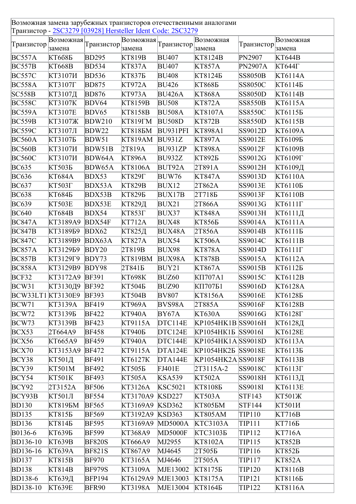Возможная замена зарубежных транзисторов отечественными аналогами Транзистор - <u>2SC3279 [03928] Hersteller Ident Code: 2SC3279</u>

| Транзистор              |                | Возможная <sub>Транзистор</sub> | Бозможная <sub>Гранзистор</sub> |                | Возможная          | Транзистор     | Возможная           |
|-------------------------|----------------|---------------------------------|---------------------------------|----------------|--------------------|----------------|---------------------|
|                         | замена         |                                 | замена                          |                | замена             |                | замена              |
| BC557A                  | <b>KT668E</b>  | <b>BD295</b>                    | <b>KT819B</b>                   | <b>BU407</b>   | <b>KT8124B</b>     | PN2907         | <b>KT644B</b>       |
| <b>BC557B</b>           | <b>KT668B</b>  | <b>BD534</b>                    | <b>KT837A</b>                   | <b>BU407</b>   | <b>KT857A</b>      | <b>PN2907A</b> | $KT644\Gamma$       |
| <b>BC557C</b>           | <b>KT3107H</b> | <b>BD536</b>                    | <b>KT8375</b>                   | <b>BU408</b>   | KT81245            | <b>SS8050B</b> | KT6114A             |
| <b>BC558A</b>           | <b>KT3107F</b> | <b>BD875</b>                    | <b>KT972A</b>                   | <b>BU426</b>   | <b>KT8685</b>      | <b>SS8050C</b> | KT61145             |
| SC558B                  | КТ3107Д        | <b>BD876</b>                    | <b>KT973A</b>                   | <b>BU426A</b>  | <b>KT868A</b>      | <b>SS8050D</b> | KT6114B             |
| <b>BC558C</b>           | KT3107K        | <b>BDV64</b>                    | KT8159B                         | <b>BU508</b>   | <b>KT872A</b>      | <b>SS8550B</b> | KT6115A             |
| <b>BC559A</b>           | <b>KT3107E</b> | BDV65                           | KT8158B                         | <b>BU508A</b>  | KT8107A            | <b>SS8550C</b> | KT6115 <sub>B</sub> |
| <b>BC559B</b>           | <b>KT3107Ж</b> | <b>BDW210</b>                   | <b>KT819FM</b>                  | <b>BU508D</b>  | <b>KT872B</b>      | <b>SS8550D</b> | KT6115B             |
| <b>BC559C</b>           | КТ3107Л        | BDW22                           | <b>KT8185M</b>                  | BU931PFI       | <b>KT898A1</b>     | SS9012D        | KT6109A             |
| <b>BC560A</b>           | KT31075        | BDW51                           | <b>KT819AM</b>                  | BU931Z         | <b>KT897A</b>      | <b>SS9012E</b> | KT61095             |
| <b>BC560B</b>           | КТ3107И        | BDW51B                          | 2T819A                          | BU931ZP        | <b>KT898A</b>      | SS9012F        | KT6109B             |
| <b>BC560C</b>           | <b>KT3107H</b> | <b>BDW64A</b>                   | <b>KT896A</b>                   | <b>BU932Z</b>  | <b>KT8925</b>      | SS9012G        | КТ6109Г             |
| <b>BC635</b>            | <b>KT503E</b>  | <b>BDW65A</b>                   | KT8106A                         | BUT92A         | 2T891A             | SS9012H        | КТ6109Д             |
| <b>BC636</b>            | <b>KT684A</b>  | BDX53                           | КТ829Г                          | <b>BUW76</b>   | <b>KT847A</b>      | SS9013D        | <b>KT6110A</b>      |
| <b>BC637</b>            | КТ503Г         | BDX53A                          | <b>KT829B</b>                   | BUX12          | 2T862A             | <b>SS9013E</b> | KT6110 <sub>B</sub> |
| <b>BC638</b>            | KT6845         | BDX53B                          | <b>КТ829Б</b>                   | BUX17B         | 2T7185             | SS9013F        | <b>KT6110B</b>      |
| <b>BC639</b>            | <b>KT503E</b>  | <b>BDX53E</b>                   | КТ829Д                          | BUX21          | 2T866A             | SS9013G        | $KT6111\Gamma$      |
| <b>BC640</b>            | <b>KT684B</b>  | BDX54                           | <b>KT853F</b>                   | BUX37          | <b>KT848A</b>      | SS9013H        | КТ6111Д             |
| <b>BC847A</b>           | KT3189A9       | BDX54F                          | <b>KT712A</b>                   | BUX48          | <b>KT856E</b>      | SS9014A        | KT6111A             |
| <b>BC847B</b>           | KT318959       | BDX62                           | КТ825Д                          | BUX48A         | 2T856A             | SS9014B        | KT61115             |
| <b>BC847C</b>           | KT3189B9       | BDX63A                          | <b>KT827A</b>                   | BUX54          | <b>KT506A</b>      | SS9014C        | <b>KT6111B</b>      |
| <b>BC857A</b>           | KT312959       | BDY20                           | 2T819B                          | <b>BUX98</b>   | <b>KT878A</b>      | SS9014D        | КТ6111Г             |
| <b>BC857B</b>           | KT3129F9       | BDY73                           | <b>KT819BM</b>                  | BUX98A         | <b>KT878B</b>      | SS9015A        | KT6112A             |
| <b>BC858A</b>           | KT3129B9       | BDY98                           | 2T841 <sub>B</sub>              | BUY21          | <b>KT867A</b>      | SS9015B        | KT6112 <sub>B</sub> |
| BCF32                   | KT3172A9 BF391 |                                 | KT698K                          | BUZ60          | KΠ707A1            | SS9015C        | KT6112B             |
| BCW31                   | КТ3130Д9       | <b>BF392</b>                    | <b>KT504E</b>                   | BUZ90          | КП707Б1            | SS9016D        | <b>KT6128A</b>      |
| BCW33LT1 KT3130E9 BF393 |                |                                 | <b>KT504B</b>                   | <b>BV807</b>   | <b>KT8156A</b>     | <b>SS9016E</b> | KT6128E             |
| BCW71                   | KT3139A        | <b>BF419</b>                    | <b>KT969A</b>                   | BVS98A         | 2T885A             | <b>SS9016F</b> | <b>KT6128B</b>      |
| BCW72                   | KT31395        | <b>BF422</b>                    | <b>KT940A</b>                   | BY67A          | <b>KT630A</b>      | SS9016G        | KT6128 <sub>T</sub> |
| BCW73                   | KT3139B        | <b>BF423</b>                    | KT9115A                         | DTC114E        | KP1054HK1B SS9016H |                | КТ6128Д             |
| BCX53                   | 2T664A9        | <b>BF458</b>                    | КТ940Б                          | DTC124E        | KP1054HK15 SS9016I |                | KT6128E             |
| BCX56                   | KT665A9        | <b>BF459</b>                    | <b>KT940A</b>                   | DTC144E        | KP1054HK1A SS9018D |                | KT6113A             |
| BCX70                   | KT3153A9       | <b>BF472</b>                    | KT9115A                         | DTA124E        | KP1054HK2E SS9018E |                | KT61135             |
| BCY38                   | КТ501Д         | <b>BF491</b>                    | KT6127K                         | DTA144E        | KP1054HK2A SS9018F |                | KT6113B             |
| BCY39                   | KT501M         | <b>BF492</b>                    | <b>KT505E</b>                   | <b>FJ401E</b>  | 2T3115A-2          | <b>SS9018C</b> | $KT6113\Gamma$      |
|                         |                |                                 |                                 |                | KT502A             |                |                     |
| BCY54                   | KT501K         | <b>BF493</b>                    | KT505A                          | <b>KSA539</b>  |                    | SS9018H        | КТ6113Д             |
| BCY92                   | 2T3152A        | <b>BF506</b>                    | KT3126A                         | <b>KSC5021</b> | KT81085            | SS9018I        | <b>KT6113E</b>      |
| BCY93B                  | КТ501Л         | <b>BF554</b>                    | KT3170A9                        | <b>KSD227</b>  | KT503A             | STF143         | KT501Ж              |
| <b>BD130</b>            | <b>KT8195M</b> | <b>BF565</b>                    | KT3169A9                        | <b>KSD362</b>  | <b>KT8055M</b>     | STF144         | КТ501И              |
| <b>BD135</b>            | KT8155         | <b>BF569</b>                    | KT3192A9                        | <b>KSD363</b>  | <b>KT805AM</b>     | <b>TIP110</b>  | <b>KT716B</b>       |
| <b>BD136</b>            | KT8145         | <b>BF595</b>                    | KT3169A9                        | <b>MD5000A</b> | <b>KTC3103A</b>    | TIP111         | КТ716Б              |
| B0136-6                 | <b>KT639E</b>  | <b>BF599</b>                    | KT368A9                         | <b>MD5000F</b> | <b>KTC31035</b>    | <b>TIP112</b>  | <b>KT716A</b>       |
| <b>BD136-10</b>         | <b>KT639B</b>  | <b>BF820S</b>                   | <b>KT666A9</b>                  | MJ2955         | KT8102A            | TIP115         | <b>KT852B</b>       |
| <b>BD136-16</b>         | <b>KT639A</b>  | <b>BF821S</b>                   | KT867A9                         | MJ4645         | 2T505E             | TIP116         | KT852Б              |
| <b>BD137</b>            | KT815B         | <b>BF970</b>                    | KT3165A                         | MJ4646         | 2T505A             | TIP117         | <b>KT852A</b>       |
| <b>BD138</b>            | <b>KT814B</b>  | <b>BF979S</b>                   | KT3109A                         | MJE13002       | KT81755            | <b>TIP120</b>  | KT8116B             |
| <b>BD138-6</b>          | <b>КТ639Д</b>  | <b>BFP194</b>                   | KT6129A9                        | MJE13003       | KT8175A            | TIP121         | KT81165             |
| <b>BD138-10</b>         | <b>KT639E</b>  | <b>BFR90</b>                    | KT3198A                         | MJE13004       | KT81645            | TIP122         | <b>KT8116A</b>      |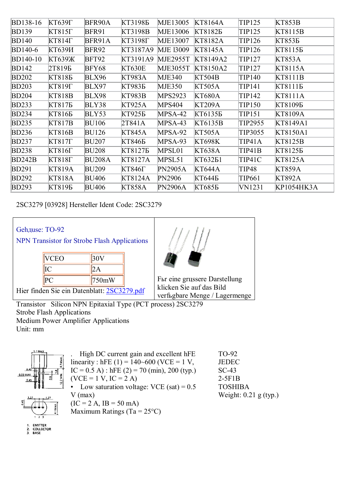| <b>BD138-16</b> | <b>КТ639Г</b> | BFR90A        | КТ3198Б       | MJE13005         | KT8164A       | TIP125        | <b>KT853B</b> |
|-----------------|---------------|---------------|---------------|------------------|---------------|---------------|---------------|
| <b>BD139</b>    | $KT815\Gamma$ | <b>BFR91</b>  | KT3198B       | MJE13006         | KT81825       | TIP125        | KT8115B       |
| <b>BD140</b>    | $KT814\Gamma$ | BFR91A        | КТ3198Г       | MJE13007         | KT8182A       | TIP126        | <b>KT8535</b> |
| <b>BD140-6</b>  | КТ639И        | <b>BFR92</b>  | KT3187A9      | <b>MJE 13009</b> | KT8145A       | TIP126        | KT81155       |
| <b>BD140-10</b> | КТ639Ж        | <b>BFT92</b>  | KT3191A9      | <b>MJE2955T</b>  | KT8149A2      | TIP127        | <b>KT853A</b> |
| <b>BD142</b>    | 2T819E        | BFY68         | KT630E        | MJE3055T         | KT8150A2      | TIP127        | KT8115A       |
| <b>BD202</b>    | KT8185        | <b>BLX96</b>  | <b>KT983A</b> | <b>MJE340</b>    | <b>KT504B</b> | TIP140        | KT8111B       |
| <b>BD203</b>    | КТ819Г        | <b>BLX97</b>  | КТ983Б        | <b>MJE350</b>    | KT505A        | TIP141        | КТ8111Б       |
| <b>BD204</b>    | <b>KT818B</b> | <b>BLX98</b>  | KT983B        | MPS2923          | <b>KT680A</b> | TIP142        | KT8111A       |
| <b>BD233</b>    | КТ817Б        | BLY38         | KT925A        | <b>MPS404</b>    | <b>KT209A</b> | <b>TIP150</b> | КТ8109Б       |
| <b>BD234</b>    | КТ816Б        | BLY53         | KT925Б        | MPSA-42          | KT61355       | TIP151        | KT8109A       |
| <b>BD235</b>    | KT817B        | <b>BU106</b>  | 2T841A        | MPSA-43          | KT6135B       | TIP2955       | KT8149A1      |
| <b>BD236</b>    | KT816B        | <b>BU126</b>  | KT845A        | MPSA-92          | KT505A        | TIP3055       | KT8150A1      |
| <b>BD237</b>    | <b>KT817F</b> | <b>BU207</b>  | KT846Б        | MPSA-93          | <b>KT698K</b> | <b>TIP41A</b> | KT8125B       |
| <b>BD238</b>    | $KT816\Gamma$ | <b>BU208</b>  | KT81275       | MPSL01           | <b>KT638A</b> | TIP41B        | KT81255       |
| BD242B          | <b>KT818F</b> | <b>BU208A</b> | KT8127A       | MPSL51           | КТ632Б1       | TIP41C        | KT8125A       |
| <b>BD291</b>    | KT819A        | <b>BU209</b>  | КТ846Г        | <b>PN2905A</b>   | KT644A        | <b>TIP48</b>  | <b>KT859A</b> |
| <b>BD292</b>    | KT818A        | <b>BU406</b>  | KT8124A       | PN2906           | КТ644Б        | TIP661        | <b>KT892A</b> |
| <b>BD293</b>    | KT8195        | <b>BU406</b>  | <b>KT858A</b> | PN2906A          | <b>KT685E</b> | VN1231        | KP1054HK3A    |

2SC3279 [03928] Hersteller Ident Code: 2SC3279

## Gehдuse: TO-92

NPN Transistor for Strobe Flash Applications

| <b>VCEO</b>                                 |       |  |
|---------------------------------------------|-------|--|
|                                             |       |  |
|                                             | 750mW |  |
| Hier finden Sie ein Datenblatt: 2SC3279.pdf |       |  |



Fьr eine grцssere Darstellung klicken Sie auf das Bild verfьgbare Menge / Lagermenge

Transistor Silicon NPN Epitaxial Type (PCT process) 2SC3279 Strobe Flash Applications Medium Power Amplifier Applications Unit: mm



. High DC current gain and excellent hFE linearity : hFE (1) =  $140 \sim 600$  (VCE = 1 V,  $IC = 0.5 A$ ) : hFE (2) = 70 (min), 200 (typ.)  $(VCE = 1 V, IC = 2 A)$ • Low saturation voltage: VCE (sat) =  $0.5$ V (max)  $(IC = 2 A, IB = 50 mA)$ Maximum Ratings (Ta =  $25^{\circ}$ C) TO-92

JEDEC SC-43 2-5F1B TOSHIBA Weight: 0.21 g (typ.)